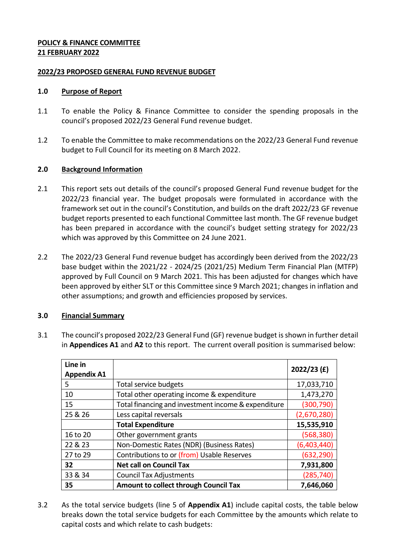### **POLICY & FINANCE COMMITTEE 21 FEBRUARY 2022**

### **2022/23 PROPOSED GENERAL FUND REVENUE BUDGET**

### **1.0 Purpose of Report**

- 1.1 To enable the Policy & Finance Committee to consider the spending proposals in the council's proposed 2022/23 General Fund revenue budget.
- 1.2 To enable the Committee to make recommendations on the 2022/23 General Fund revenue budget to Full Council for its meeting on 8 March 2022.

### **2.0 Background Information**

- 2.1 This report sets out details of the council's proposed General Fund revenue budget for the 2022/23 financial year. The budget proposals were formulated in accordance with the framework set out in the council's Constitution, and builds on the draft 2022/23 GF revenue budget reports presented to each functional Committee last month. The GF revenue budget has been prepared in accordance with the council's budget setting strategy for 2022/23 which was approved by this Committee on 24 June 2021.
- 2.2 The 2022/23 General Fund revenue budget has accordingly been derived from the 2022/23 base budget within the 2021/22 - 2024/25 (2021/25) Medium Term Financial Plan (MTFP) approved by Full Council on 9 March 2021. This has been adjusted for changes which have been approved by either SLT or this Committee since 9 March 2021; changes in inflation and other assumptions; and growth and efficiencies proposed by services.

#### **3.0 Financial Summary**

3.1 The council's proposed 2022/23 General Fund (GF) revenue budget is shown in further detail in **Appendices A1** and **A2** to this report. The current overall position is summarised below:

| Line in<br><b>Appendix A1</b> |                                                     | $2022/23$ (£) |
|-------------------------------|-----------------------------------------------------|---------------|
| 5                             | Total service budgets                               | 17,033,710    |
| 10                            | Total other operating income & expenditure          | 1,473,270     |
| 15                            | Total financing and investment income & expenditure | (300, 790)    |
| 25 & 26                       | Less capital reversals                              | (2,670,280)   |
|                               | <b>Total Expenditure</b>                            | 15,535,910    |
| 16 to 20                      | Other government grants                             | (568, 380)    |
| 22 & 23                       | Non-Domestic Rates (NDR) (Business Rates)           | (6,403,440)   |
| 27 to 29                      | Contributions to or (from) Usable Reserves          | (632, 290)    |
| 32                            | <b>Net call on Council Tax</b>                      | 7,931,800     |
| 33 & 34                       | <b>Council Tax Adjustments</b>                      | (285, 740)    |
| 35                            | Amount to collect through Council Tax               | 7,646,060     |

3.2 As the total service budgets (line 5 of **Appendix A1**) include capital costs, the table below breaks down the total service budgets for each Committee by the amounts which relate to capital costs and which relate to cash budgets: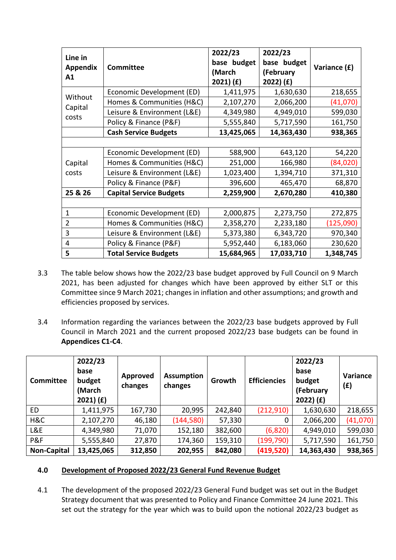| Line in         |                                | 2022/23     | 2022/23     |              |
|-----------------|--------------------------------|-------------|-------------|--------------|
|                 | <b>Committee</b>               | base budget | base budget |              |
| <b>Appendix</b> |                                | (March      | (February   | Variance (£) |
| A1              |                                | 2021) (f)   | 2022) (£)   |              |
| Without         | Economic Development (ED)      | 1,411,975   | 1,630,630   | 218,655      |
|                 | Homes & Communities (H&C)      | 2,107,270   | 2,066,200   | (41,070)     |
| Capital         | Leisure & Environment (L&E)    | 4,349,980   | 4,949,010   | 599,030      |
| costs           | Policy & Finance (P&F)         | 5,555,840   | 5,717,590   | 161,750      |
|                 | <b>Cash Service Budgets</b>    | 13,425,065  | 14,363,430  | 938,365      |
|                 |                                |             |             |              |
|                 | Economic Development (ED)      | 588,900     | 643,120     | 54,220       |
| Capital         | Homes & Communities (H&C)      | 251,000     | 166,980     | (84,020)     |
| costs           | Leisure & Environment (L&E)    | 1,023,400   | 1,394,710   | 371,310      |
|                 | Policy & Finance (P&F)         | 396,600     | 465,470     | 68,870       |
| 25 & 26         | <b>Capital Service Budgets</b> | 2,259,900   | 2,670,280   | 410,380      |
|                 |                                |             |             |              |
| 1               | Economic Development (ED)      | 2,000,875   | 2,273,750   | 272,875      |
| $\overline{2}$  | Homes & Communities (H&C)      | 2,358,270   | 2,233,180   | (125,090)    |
| 3               | Leisure & Environment (L&E)    | 5,373,380   | 6,343,720   | 970,340      |
| 4               | Policy & Finance (P&F)         | 5,952,440   | 6,183,060   | 230,620      |
| 5               | <b>Total Service Budgets</b>   | 15,684,965  | 17,033,710  | 1,348,745    |

- 3.3 The table below shows how the 2022/23 base budget approved by Full Council on 9 March 2021, has been adjusted for changes which have been approved by either SLT or this Committee since 9 March 2021; changes in inflation and other assumptions; and growth and efficiencies proposed by services.
- 3.4 Information regarding the variances between the 2022/23 base budgets approved by Full Council in March 2021 and the current proposed 2022/23 base budgets can be found in **Appendices C1-C4**.

| <b>Committee</b>   | 2022/23<br>base<br>budget<br>(March<br>$2021)$ (£) | Approved<br>changes | <b>Assumption</b><br>changes | Growth  | <b>Efficiencies</b> | 2022/23<br>base<br>budget<br>(February<br>2022) (f) | Variance<br>(E) |
|--------------------|----------------------------------------------------|---------------------|------------------------------|---------|---------------------|-----------------------------------------------------|-----------------|
| <b>ED</b>          | 1,411,975                                          | 167,730             | 20,995                       | 242,840 | (212, 910)          | 1,630,630                                           | 218,655         |
| H&C                | 2,107,270                                          | 46,180              | (144, 580)                   | 57,330  | 0                   | 2,066,200                                           | (41,070)        |
| L&E                | 4,349,980                                          | 71,070              | 152,180                      | 382,600 | (6,820)             | 4,949,010                                           | 599,030         |
| P&F                | 5,555,840                                          | 27,870              | 174,360                      | 159,310 | (199, 790)          | 5,717,590                                           | 161,750         |
| <b>Non-Capital</b> | 13,425,065                                         | 312,850             | 202,955                      | 842,080 | (419,520)           | 14,363,430                                          | 938,365         |

# **4.0 Development of Proposed 2022/23 General Fund Revenue Budget**

4.1 The development of the proposed 2022/23 General Fund budget was set out in the Budget Strategy document that was presented to Policy and Finance Committee 24 June 2021. This set out the strategy for the year which was to build upon the notional 2022/23 budget as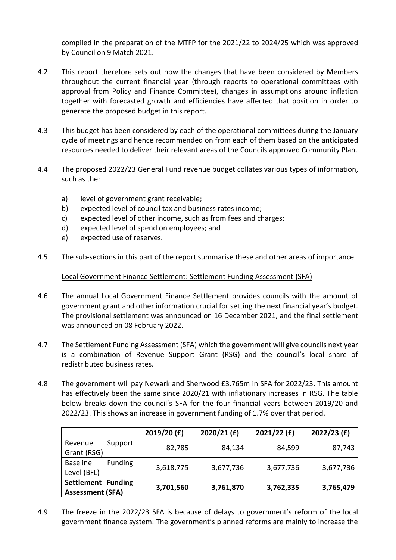compiled in the preparation of the MTFP for the 2021/22 to 2024/25 which was approved by Council on 9 Match 2021.

- 4.2 This report therefore sets out how the changes that have been considered by Members throughout the current financial year (through reports to operational committees with approval from Policy and Finance Committee), changes in assumptions around inflation together with forecasted growth and efficiencies have affected that position in order to generate the proposed budget in this report.
- 4.3 This budget has been considered by each of the operational committees during the January cycle of meetings and hence recommended on from each of them based on the anticipated resources needed to deliver their relevant areas of the Councils approved Community Plan.
- 4.4 The proposed 2022/23 General Fund revenue budget collates various types of information, such as the:
	- a) level of government grant receivable;
	- b) expected level of council tax and business rates income;
	- c) expected level of other income, such as from fees and charges;
	- d) expected level of spend on employees; and
	- e) expected use of reserves.
- 4.5 The sub-sections in this part of the report summarise these and other areas of importance.

Local Government Finance Settlement: Settlement Funding Assessment (SFA)

- 4.6 The annual Local Government Finance Settlement provides councils with the amount of government grant and other information crucial for setting the next financial year's budget. The provisional settlement was announced on 16 December 2021, and the final settlement was announced on 08 February 2022.
- 4.7 The Settlement Funding Assessment (SFA) which the government will give councils next year is a combination of Revenue Support Grant (RSG) and the council's local share of redistributed business rates.
- 4.8 The government will pay Newark and Sherwood £3.765m in SFA for 2022/23. This amount has effectively been the same since 2020/21 with inflationary increases in RSG. The table below breaks down the council's SFA for the four financial years between 2019/20 and 2022/23. This shows an increase in government funding of 1.7% over that period.

|                                   | 2019/20 (£) | $2020/21$ (£) | 2021/22(f) | $2022/23$ (£) |  |
|-----------------------------------|-------------|---------------|------------|---------------|--|
| Support<br>Revenue                | 82,785      | 84,134        | 84,599     | 87,743        |  |
| Grant (RSG)                       |             |               |            |               |  |
| <b>Baseline</b><br><b>Funding</b> |             |               |            |               |  |
| Level (BFL)                       | 3,618,775   | 3,677,736     | 3,677,736  | 3,677,736     |  |
| Settlement Funding                |             |               |            |               |  |
| <b>Assessment (SFA)</b>           | 3,701,560   | 3,761,870     | 3,762,335  | 3,765,479     |  |

4.9 The freeze in the 2022/23 SFA is because of delays to government's reform of the local government finance system. The government's planned reforms are mainly to increase the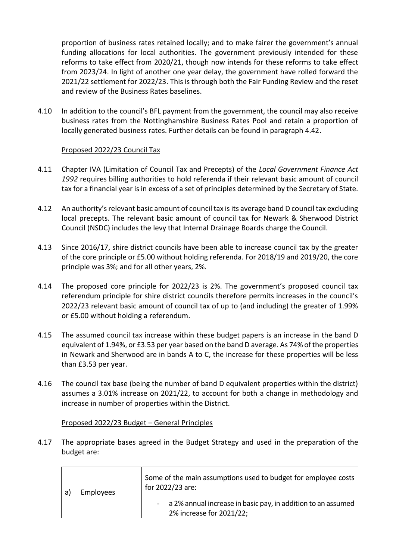proportion of business rates retained locally; and to make fairer the government's annual funding allocations for local authorities. The government previously intended for these reforms to take effect from 2020/21, though now intends for these reforms to take effect from 2023/24. In light of another one year delay, the government have rolled forward the 2021/22 settlement for 2022/23. This is through both the Fair Funding Review and the reset and review of the Business Rates baselines.

4.10 In addition to the council's BFL payment from the government, the council may also receive business rates from the Nottinghamshire Business Rates Pool and retain a proportion of locally generated business rates. Further details can be found in paragraph 4.42.

#### Proposed 2022/23 Council Tax

- 4.11 Chapter IVA (Limitation of Council Tax and Precepts) of the *Local Government Finance Act 1992* requires billing authorities to hold referenda if their relevant basic amount of council tax for a financial year is in excess of a set of principles determined by the Secretary of State.
- 4.12 An authority's relevant basic amount of council tax is its average band D council tax excluding local precepts. The relevant basic amount of council tax for Newark & Sherwood District Council (NSDC) includes the levy that Internal Drainage Boards charge the Council.
- 4.13 Since 2016/17, shire district councils have been able to increase council tax by the greater of the core principle or £5.00 without holding referenda. For 2018/19 and 2019/20, the core principle was 3%; and for all other years, 2%.
- 4.14 The proposed core principle for 2022/23 is 2%. The government's proposed council tax referendum principle for shire district councils therefore permits increases in the council's 2022/23 relevant basic amount of council tax of up to (and including) the greater of 1.99% or £5.00 without holding a referendum.
- 4.15 The assumed council tax increase within these budget papers is an increase in the band D equivalent of 1.94%, or £3.53 per year based on the band D average. As 74% of the properties in Newark and Sherwood are in bands A to C, the increase for these properties will be less than £3.53 per year.
- 4.16 The council tax base (being the number of band D equivalent properties within the district) assumes a 3.01% increase on 2021/22, to account for both a change in methodology and increase in number of properties within the District.

#### Proposed 2022/23 Budget – General Principles

4.17 The appropriate bases agreed in the Budget Strategy and used in the preparation of the budget are:

| a) | Employees | Some of the main assumptions used to budget for employee costs<br>for 2022/23 are:         |
|----|-----------|--------------------------------------------------------------------------------------------|
|    |           | - a 2% annual increase in basic pay, in addition to an assumed<br>2% increase for 2021/22; |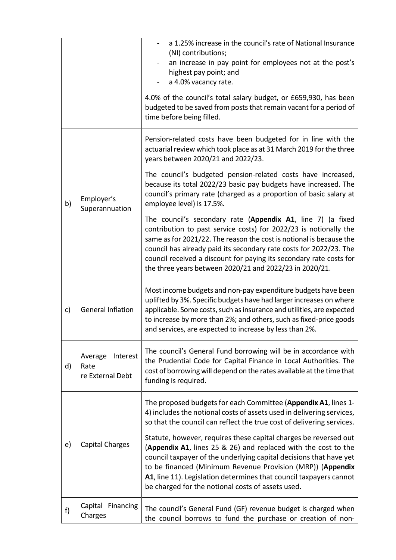|            |                                                 | a 1.25% increase in the council's rate of National Insurance<br>(NI) contributions;<br>an increase in pay point for employees not at the post's<br>highest pay point; and<br>a 4.0% vacancy rate.<br>4.0% of the council's total salary budget, or £659,930, has been<br>budgeted to be saved from posts that remain vacant for a period of                                                                     |
|------------|-------------------------------------------------|-----------------------------------------------------------------------------------------------------------------------------------------------------------------------------------------------------------------------------------------------------------------------------------------------------------------------------------------------------------------------------------------------------------------|
|            |                                                 | time before being filled.                                                                                                                                                                                                                                                                                                                                                                                       |
|            |                                                 | Pension-related costs have been budgeted for in line with the<br>actuarial review which took place as at 31 March 2019 for the three<br>years between 2020/21 and 2022/23.                                                                                                                                                                                                                                      |
| b)         | Employer's<br>Superannuation                    | The council's budgeted pension-related costs have increased,<br>because its total 2022/23 basic pay budgets have increased. The<br>council's primary rate (charged as a proportion of basic salary at<br>employee level) is 17.5%.                                                                                                                                                                              |
|            |                                                 | The council's secondary rate (Appendix A1, line 7) (a fixed<br>contribution to past service costs) for 2022/23 is notionally the<br>same as for 2021/22. The reason the cost is notional is because the<br>council has already paid its secondary rate costs for 2022/23. The<br>council received a discount for paying its secondary rate costs for<br>the three years between 2020/21 and 2022/23 in 2020/21. |
| c)         | <b>General Inflation</b>                        | Most income budgets and non-pay expenditure budgets have been<br>uplifted by 3%. Specific budgets have had larger increases on where<br>applicable. Some costs, such as insurance and utilities, are expected<br>to increase by more than 2%; and others, such as fixed-price goods<br>and services, are expected to increase by less than 2%.                                                                  |
| d)         | Average<br>Interest<br>Rate<br>re External Debt | The council's General Fund borrowing will be in accordance with<br>the Prudential Code for Capital Finance in Local Authorities. The<br>cost of borrowing will depend on the rates available at the time that<br>funding is required.                                                                                                                                                                           |
|            |                                                 | The proposed budgets for each Committee (Appendix A1, lines 1-<br>4) includes the notional costs of assets used in delivering services,<br>so that the council can reflect the true cost of delivering services.                                                                                                                                                                                                |
| $\epsilon$ | <b>Capital Charges</b>                          | Statute, however, requires these capital charges be reversed out<br>(Appendix A1, lines 25 & 26) and replaced with the cost to the<br>council taxpayer of the underlying capital decisions that have yet<br>to be financed (Minimum Revenue Provision (MRP)) (Appendix<br>A1, line 11). Legislation determines that council taxpayers cannot<br>be charged for the notional costs of assets used.               |
| f)         | Capital Financing<br>Charges                    | The council's General Fund (GF) revenue budget is charged when<br>the council borrows to fund the purchase or creation of non-                                                                                                                                                                                                                                                                                  |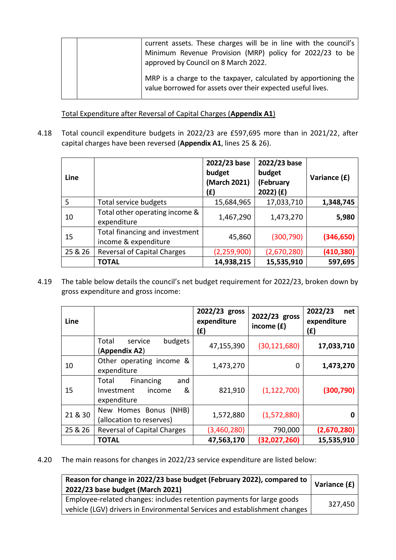|  | current assets. These charges will be in line with the council's<br>Minimum Revenue Provision (MRP) policy for 2022/23 to be<br>approved by Council on 8 March 2022. |
|--|----------------------------------------------------------------------------------------------------------------------------------------------------------------------|
|  | MRP is a charge to the taxpayer, calculated by apportioning the<br>value borrowed for assets over their expected useful lives.                                       |

Total Expenditure after Reversal of Capital Charges (**Appendix A1**)

4.18 Total council expenditure budgets in 2022/23 are £597,695 more than in 2021/22, after capital charges have been reversed (**Appendix A1**, lines 25 & 26).

| Line    |                                                        | 2022/23 base<br>budget<br>(March 2021)<br>(£) | 2022/23 base<br>budget<br>(February<br>2022) (f) | Variance (£) |
|---------|--------------------------------------------------------|-----------------------------------------------|--------------------------------------------------|--------------|
| 5       | Total service budgets                                  | 15,684,965                                    | 17,033,710                                       | 1,348,745    |
| 10      | Total other operating income &<br>expenditure          | 1,467,290                                     | 1,473,270                                        | 5,980        |
| 15      | Total financing and investment<br>income & expenditure | 45,860                                        | (300, 790)                                       | (346, 650)   |
| 25 & 26 | <b>Reversal of Capital Charges</b>                     | (2, 259, 900)                                 | (2,670,280)                                      | (410, 380)   |
|         | <b>TOTAL</b>                                           | 14,938,215                                    | 15,535,910                                       | 597,695      |

4.19 The table below details the council's net budget requirement for 2022/23, broken down by gross expenditure and gross income:

| Line    |                                                                       | 2022/23 gross<br>expenditure<br>(£) | 2022/23 gross<br>income (£) | 2022/23<br>net<br>expenditure<br>(f) |
|---------|-----------------------------------------------------------------------|-------------------------------------|-----------------------------|--------------------------------------|
|         | budgets<br>Total<br>service<br>(Appendix A2)                          | 47,155,390                          | (30, 121, 680)              | 17,033,710                           |
| 10      | Other operating income &<br>expenditure                               | 1,473,270                           | 0                           | 1,473,270                            |
| 15      | Financing<br>Total<br>and<br>&<br>Investment<br>income<br>expenditure | 821,910                             | (1, 122, 700)               | (300, 790)                           |
| 21 & 30 | (NHB)<br>New Homes Bonus<br>(allocation to reserves)                  | 1,572,880                           | (1,572,880)                 |                                      |
| 25 & 26 | <b>Reversal of Capital Charges</b>                                    | (3,460,280)                         | 790,000                     | (2,670,280)                          |
|         | <b>TOTAL</b>                                                          | 47,563,170                          | (32,027,260)                | 15,535,910                           |

4.20 The main reasons for changes in 2022/23 service expenditure are listed below:

| Reason for change in 2022/23 base budget (February 2022), compared to<br>2022/23 base budget (March 2021) | Variance (£) |
|-----------------------------------------------------------------------------------------------------------|--------------|
| Employee-related changes: includes retention payments for large goods                                     | 327,450      |
| vehicle (LGV) drivers in Environmental Services and establishment changes                                 |              |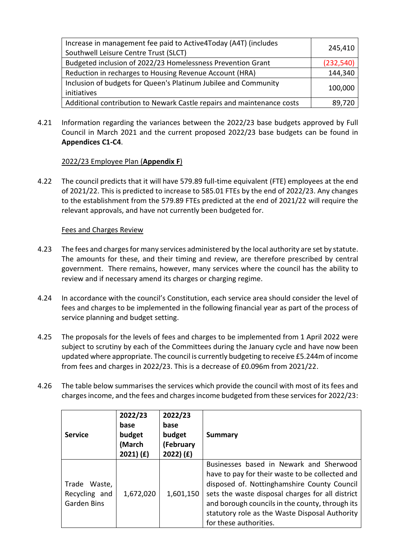| Increase in management fee paid to Active4Today (A4T) (includes<br>Southwell Leisure Centre Trust (SLCT) | 245,410    |
|----------------------------------------------------------------------------------------------------------|------------|
| Budgeted inclusion of 2022/23 Homelessness Prevention Grant                                              | (232, 540) |
| Reduction in recharges to Housing Revenue Account (HRA)                                                  | 144,340    |
| Inclusion of budgets for Queen's Platinum Jubilee and Community<br>initiatives                           | 100,000    |
| Additional contribution to Newark Castle repairs and maintenance costs                                   | 89,720     |

4.21 Information regarding the variances between the 2022/23 base budgets approved by Full Council in March 2021 and the current proposed 2022/23 base budgets can be found in **Appendices C1-C4**.

# 2022/23 Employee Plan (**Appendix F**)

4.22 The council predicts that it will have 579.89 full-time equivalent (FTE) employees at the end of 2021/22. This is predicted to increase to 585.01 FTEs by the end of 2022/23. Any changes to the establishment from the 579.89 FTEs predicted at the end of 2021/22 will require the relevant approvals, and have not currently been budgeted for.

# Fees and Charges Review

- 4.23 The fees and charges for many services administered by the local authority are set by statute. The amounts for these, and their timing and review, are therefore prescribed by central government. There remains, however, many services where the council has the ability to review and if necessary amend its charges or charging regime.
- 4.24 In accordance with the council's Constitution, each service area should consider the level of fees and charges to be implemented in the following financial year as part of the process of service planning and budget setting.
- 4.25 The proposals for the levels of fees and charges to be implemented from 1 April 2022 were subject to scrutiny by each of the Committees during the January cycle and have now been updated where appropriate. The council is currently budgeting to receive £5.244m of income from fees and charges in 2022/23. This is a decrease of £0.096m from 2021/22.
- 4.26 The table below summarises the services which provide the council with most of its fees and charges income, and the fees and charges income budgeted from these services for 2022/23:

| <b>Service</b>                                      | 2022/23<br>base<br>budget<br>(March<br>2021) (f) | 2022/23<br>base<br>budget<br>(February<br>2022) (f) | <b>Summary</b>                                                                                                                                                                                                                                                                                                               |
|-----------------------------------------------------|--------------------------------------------------|-----------------------------------------------------|------------------------------------------------------------------------------------------------------------------------------------------------------------------------------------------------------------------------------------------------------------------------------------------------------------------------------|
| Trade Waste,<br>Recycling and<br><b>Garden Bins</b> | 1,672,020                                        | 1,601,150                                           | Businesses based in Newark and Sherwood<br>have to pay for their waste to be collected and<br>disposed of. Nottinghamshire County Council<br>sets the waste disposal charges for all district<br>and borough councils in the county, through its<br>statutory role as the Waste Disposal Authority<br>for these authorities. |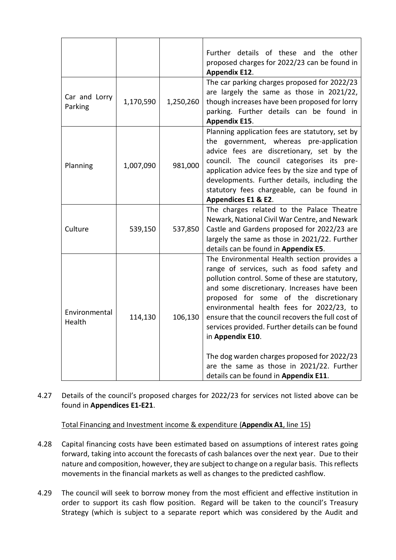|                          |           |           | Further details of these and the other<br>proposed charges for 2022/23 can be found in<br><b>Appendix E12.</b>                                                                                                                                                                                                                                                                                                                                                                                                                                      |
|--------------------------|-----------|-----------|-----------------------------------------------------------------------------------------------------------------------------------------------------------------------------------------------------------------------------------------------------------------------------------------------------------------------------------------------------------------------------------------------------------------------------------------------------------------------------------------------------------------------------------------------------|
| Car and Lorry<br>Parking | 1,170,590 | 1,250,260 | The car parking charges proposed for 2022/23<br>are largely the same as those in 2021/22,<br>though increases have been proposed for lorry<br>parking. Further details can be found in<br><b>Appendix E15.</b>                                                                                                                                                                                                                                                                                                                                      |
| Planning                 | 1,007,090 | 981,000   | Planning application fees are statutory, set by<br>the government, whereas pre-application<br>advice fees are discretionary, set by the<br>council. The council categorises its pre-<br>application advice fees by the size and type of<br>developments. Further details, including the<br>statutory fees chargeable, can be found in<br>Appendices E1 & E2.                                                                                                                                                                                        |
| Culture                  | 539,150   | 537,850   | The charges related to the Palace Theatre<br>Newark, National Civil War Centre, and Newark<br>Castle and Gardens proposed for 2022/23 are<br>largely the same as those in 2021/22. Further<br>details can be found in Appendix E5.                                                                                                                                                                                                                                                                                                                  |
| Environmental<br>Health  | 114,130   | 106,130   | The Environmental Health section provides a<br>range of services, such as food safety and<br>pollution control. Some of these are statutory,<br>and some discretionary. Increases have been<br>proposed for some of the discretionary<br>environmental health fees for 2022/23, to<br>ensure that the council recovers the full cost of<br>services provided. Further details can be found<br>in Appendix E10.<br>The dog warden charges proposed for 2022/23<br>are the same as those in 2021/22. Further<br>details can be found in Appendix E11. |

4.27 Details of the council's proposed charges for 2022/23 for services not listed above can be found in **Appendices E1-E21**.

Total Financing and Investment income & expenditure (**Appendix A1**, line 15)

- 4.28 Capital financing costs have been estimated based on assumptions of interest rates going forward, taking into account the forecasts of cash balances over the next year. Due to their nature and composition, however, they are subject to change on a regular basis. This reflects movements in the financial markets as well as changes to the predicted cashflow.
- 4.29 The council will seek to borrow money from the most efficient and effective institution in order to support its cash flow position. Regard will be taken to the council's Treasury Strategy (which is subject to a separate report which was considered by the Audit and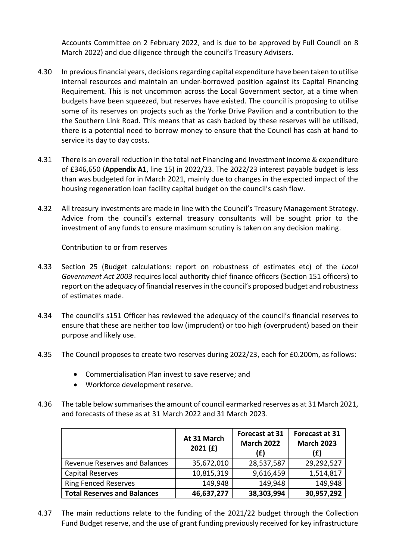Accounts Committee on 2 February 2022, and is due to be approved by Full Council on 8 March 2022) and due diligence through the council's Treasury Advisers.

- 4.30 In previousfinancial years, decisions regarding capital expenditure have been taken to utilise internal resources and maintain an under-borrowed position against its Capital Financing Requirement. This is not uncommon across the Local Government sector, at a time when budgets have been squeezed, but reserves have existed. The council is proposing to utilise some of its reserves on projects such as the Yorke Drive Pavilion and a contribution to the the Southern Link Road. This means that as cash backed by these reserves will be utilised, there is a potential need to borrow money to ensure that the Council has cash at hand to service its day to day costs.
- 4.31 There is an overall reduction in the total net Financing and Investment income & expenditure of £346,650 (**Appendix A1**, line 15) in 2022/23. The 2022/23 interest payable budget is less than was budgeted for in March 2021, mainly due to changes in the expected impact of the housing regeneration loan facility capital budget on the council's cash flow.
- 4.32 All treasury investments are made in line with the Council's Treasury Management Strategy. Advice from the council's external treasury consultants will be sought prior to the investment of any funds to ensure maximum scrutiny is taken on any decision making.

### Contribution to or from reserves

- 4.33 Section 25 (Budget calculations: report on robustness of estimates etc) of the *Local Government Act 2003* requires local authority chief finance officers (Section 151 officers) to report on the adequacy of financial reserves in the council's proposed budget and robustness of estimates made.
- 4.34 The council's s151 Officer has reviewed the adequacy of the council's financial reserves to ensure that these are neither too low (imprudent) or too high (overprudent) based on their purpose and likely use.
- 4.35 The Council proposes to create two reserves during 2022/23, each for £0.200m, as follows:
	- Commercialisation Plan invest to save reserve; and
	- Workforce development reserve.
- 4.36 The table below summarises the amount of council earmarked reserves as at 31 March 2021, and forecasts of these as at 31 March 2022 and 31 March 2023.

|                                    | At 31 March<br>2021(f) | <b>Forecast at 31</b><br><b>March 2022</b><br>(£) | Forecast at 31<br><b>March 2023</b><br>(£) |
|------------------------------------|------------------------|---------------------------------------------------|--------------------------------------------|
| Revenue Reserves and Balances      | 35,672,010             | 28,537,587                                        | 29,292,527                                 |
| Capital Reserves                   | 10,815,319             | 9,616,459                                         | 1,514,817                                  |
| <b>Ring Fenced Reserves</b>        | 149,948                | 149,948                                           | 149,948                                    |
| <b>Total Reserves and Balances</b> | 46,637,277             | 38,303,994                                        | 30,957,292                                 |

4.37 The main reductions relate to the funding of the 2021/22 budget through the Collection Fund Budget reserve, and the use of grant funding previously received for key infrastructure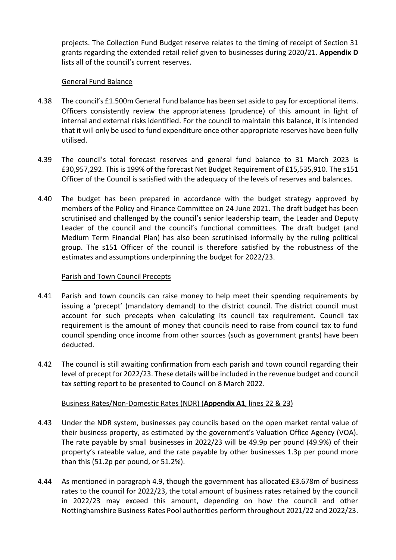projects. The Collection Fund Budget reserve relates to the timing of receipt of Section 31 grants regarding the extended retail relief given to businesses during 2020/21. **Appendix D** lists all of the council's current reserves.

### General Fund Balance

- 4.38 The council's £1.500m General Fund balance has been set aside to pay for exceptional items. Officers consistently review the appropriateness (prudence) of this amount in light of internal and external risks identified. For the council to maintain this balance, it is intended that it will only be used to fund expenditure once other appropriate reserves have been fully utilised.
- 4.39 The council's total forecast reserves and general fund balance to 31 March 2023 is £30,957,292. This is 199% of the forecast Net Budget Requirement of £15,535,910. The s151 Officer of the Council is satisfied with the adequacy of the levels of reserves and balances.
- 4.40 The budget has been prepared in accordance with the budget strategy approved by members of the Policy and Finance Committee on 24 June 2021. The draft budget has been scrutinised and challenged by the council's senior leadership team, the Leader and Deputy Leader of the council and the council's functional committees. The draft budget (and Medium Term Financial Plan) has also been scrutinised informally by the ruling political group. The s151 Officer of the council is therefore satisfied by the robustness of the estimates and assumptions underpinning the budget for 2022/23.

# Parish and Town Council Precepts

- 4.41 Parish and town councils can raise money to help meet their spending requirements by issuing a 'precept' (mandatory demand) to the district council. The district council must account for such precepts when calculating its council tax requirement. Council tax requirement is the amount of money that councils need to raise from council tax to fund council spending once income from other sources (such as government grants) have been deducted.
- 4.42 The council is still awaiting confirmation from each parish and town council regarding their level of precept for 2022/23. These details will be included in the revenue budget and council tax setting report to be presented to Council on 8 March 2022.

#### Business Rates/Non-Domestic Rates (NDR) (**Appendix A1**, lines 22 & 23)

- 4.43 Under the NDR system, businesses pay councils based on the open market rental value of their business property, as estimated by the government's Valuation Office Agency (VOA). The rate payable by small businesses in 2022/23 will be 49.9p per pound (49.9%) of their property's rateable value, and the rate payable by other businesses 1.3p per pound more than this (51.2p per pound, or 51.2%).
- 4.44 As mentioned in paragraph 4.9, though the government has allocated £3.678m of business rates to the council for 2022/23, the total amount of business rates retained by the council in 2022/23 may exceed this amount, depending on how the council and other Nottinghamshire Business Rates Pool authorities perform throughout 2021/22 and 2022/23.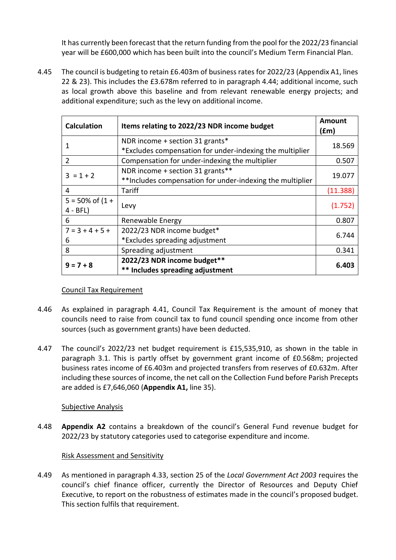It has currently been forecast that the return funding from the pool for the 2022/23 financial year will be £600,000 which has been built into the council's Medium Term Financial Plan.

4.45 The council is budgeting to retain £6.403m of business rates for 2022/23 (Appendix A1, lines 22 & 23). This includes the £3.678m referred to in paragraph 4.44; additional income, such as local growth above this baseline and from relevant renewable energy projects; and additional expenditure; such as the levy on additional income.

| <b>Calculation</b>          | Items relating to 2022/23 NDR income budget               | <b>Amount</b><br>(fm) |  |
|-----------------------------|-----------------------------------------------------------|-----------------------|--|
| 1                           | NDR income + section 31 grants*                           | 18.569                |  |
|                             | *Excludes compensation for under-indexing the multiplier  |                       |  |
| $\overline{2}$              | Compensation for under-indexing the multiplier            | 0.507                 |  |
| $3 = 1 + 2$                 | NDR income + section 31 grants**                          |                       |  |
|                             | **Includes compensation for under-indexing the multiplier | 19.077                |  |
| 4                           | Tariff                                                    | (11.388)              |  |
| $5 = 50\% \text{ of } (1 +$ |                                                           | (1.752)               |  |
| $4 - BFL$ )                 | Levy                                                      |                       |  |
| 6                           | Renewable Energy                                          | 0.807                 |  |
| $7 = 3 + 4 + 5 +$           | 2022/23 NDR income budget*                                | 6.744                 |  |
| 6                           | *Excludes spreading adjustment                            |                       |  |
| 8                           | Spreading adjustment                                      | 0.341                 |  |
| $9 = 7 + 8$                 | 2022/23 NDR income budget**                               | 6.403                 |  |
|                             | ** Includes spreading adjustment                          |                       |  |

# Council Tax Requirement

- 4.46 As explained in paragraph 4.41, Council Tax Requirement is the amount of money that councils need to raise from council tax to fund council spending once income from other sources (such as government grants) have been deducted.
- 4.47 The council's 2022/23 net budget requirement is £15,535,910, as shown in the table in paragraph 3.1. This is partly offset by government grant income of £0.568m; projected business rates income of £6.403m and projected transfers from reserves of £0.632m. After including these sources of income, the net call on the Collection Fund before Parish Precepts are added is £7,646,060 (**Appendix A1,** line 35).

# Subjective Analysis

4.48 **Appendix A2** contains a breakdown of the council's General Fund revenue budget for 2022/23 by statutory categories used to categorise expenditure and income.

# Risk Assessment and Sensitivity

4.49 As mentioned in paragraph 4.33, section 25 of the *Local Government Act 2003* requires the council's chief finance officer, currently the Director of Resources and Deputy Chief Executive, to report on the robustness of estimates made in the council's proposed budget. This section fulfils that requirement.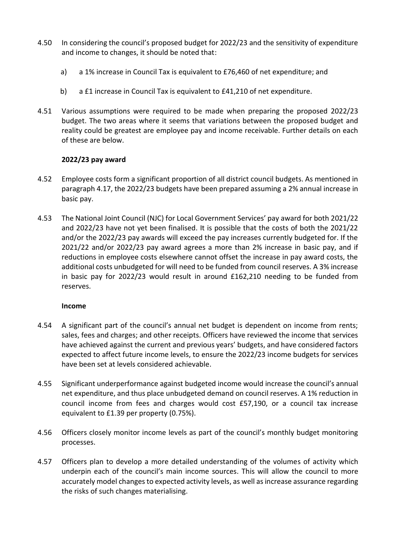- 4.50 In considering the council's proposed budget for 2022/23 and the sensitivity of expenditure and income to changes, it should be noted that:
	- a) a 1% increase in Council Tax is equivalent to £76,460 of net expenditure; and
	- b) a £1 increase in Council Tax is equivalent to £41,210 of net expenditure.
- 4.51 Various assumptions were required to be made when preparing the proposed 2022/23 budget. The two areas where it seems that variations between the proposed budget and reality could be greatest are employee pay and income receivable. Further details on each of these are below.

# **2022/23 pay award**

- 4.52 Employee costs form a significant proportion of all district council budgets. As mentioned in paragraph 4.17, the 2022/23 budgets have been prepared assuming a 2% annual increase in basic pay.
- 4.53 The National Joint Council (NJC) for Local Government Services' pay award for both 2021/22 and 2022/23 have not yet been finalised. It is possible that the costs of both the 2021/22 and/or the 2022/23 pay awards will exceed the pay increases currently budgeted for. If the 2021/22 and/or 2022/23 pay award agrees a more than 2% increase in basic pay, and if reductions in employee costs elsewhere cannot offset the increase in pay award costs, the additional costs unbudgeted for will need to be funded from council reserves. A 3% increase in basic pay for 2022/23 would result in around £162,210 needing to be funded from reserves.

# **Income**

- 4.54 A significant part of the council's annual net budget is dependent on income from rents; sales, fees and charges; and other receipts. Officers have reviewed the income that services have achieved against the current and previous years' budgets, and have considered factors expected to affect future income levels, to ensure the 2022/23 income budgets for services have been set at levels considered achievable.
- 4.55 Significant underperformance against budgeted income would increase the council's annual net expenditure, and thus place unbudgeted demand on council reserves. A 1% reduction in council income from fees and charges would cost £57,190, or a council tax increase equivalent to £1.39 per property (0.75%).
- 4.56 Officers closely monitor income levels as part of the council's monthly budget monitoring processes.
- 4.57 Officers plan to develop a more detailed understanding of the volumes of activity which underpin each of the council's main income sources. This will allow the council to more accurately model changes to expected activity levels, as well as increase assurance regarding the risks of such changes materialising.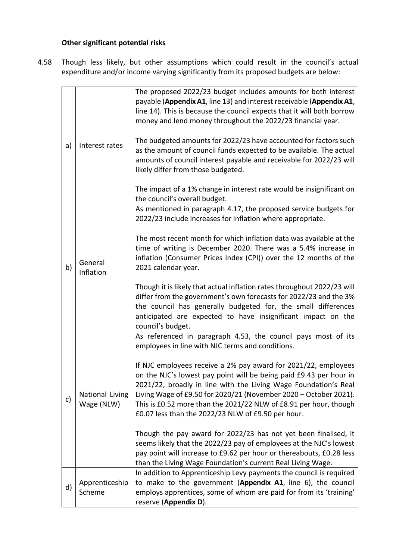# **Other significant potential risks**

4.58 Though less likely, but other assumptions which could result in the council's actual expenditure and/or income varying significantly from its proposed budgets are below:

| a) | Interest rates                | The proposed 2022/23 budget includes amounts for both interest<br>payable (Appendix A1, line 13) and interest receivable (Appendix A1,<br>line 14). This is because the council expects that it will both borrow<br>money and lend money throughout the 2022/23 financial year.<br>The budgeted amounts for 2022/23 have accounted for factors such<br>as the amount of council funds expected to be available. The actual<br>amounts of council interest payable and receivable for 2022/23 will<br>likely differ from those budgeted.<br>The impact of a 1% change in interest rate would be insignificant on                                                                                                                                                                                             |
|----|-------------------------------|-------------------------------------------------------------------------------------------------------------------------------------------------------------------------------------------------------------------------------------------------------------------------------------------------------------------------------------------------------------------------------------------------------------------------------------------------------------------------------------------------------------------------------------------------------------------------------------------------------------------------------------------------------------------------------------------------------------------------------------------------------------------------------------------------------------|
| b) | General<br>Inflation          | the council's overall budget.<br>As mentioned in paragraph 4.17, the proposed service budgets for<br>2022/23 include increases for inflation where appropriate.<br>The most recent month for which inflation data was available at the<br>time of writing is December 2020. There was a 5.4% increase in<br>inflation (Consumer Prices Index (CPI)) over the 12 months of the<br>2021 calendar year.<br>Though it is likely that actual inflation rates throughout 2022/23 will<br>differ from the government's own forecasts for 2022/23 and the 3%<br>the council has generally budgeted for, the small differences<br>anticipated are expected to have insignificant impact on the<br>council's budget.                                                                                                  |
| c) | National Living<br>Wage (NLW) | As referenced in paragraph 4.53, the council pays most of its<br>employees in line with NJC terms and conditions.<br>If NJC employees receive a 2% pay award for 2021/22, employees<br>on the NJC's lowest pay point will be being paid £9.43 per hour in<br>2021/22, broadly in line with the Living Wage Foundation's Real<br>Living Wage of £9.50 for 2020/21 (November 2020 - October 2021).<br>This is £0.52 more than the 2021/22 NLW of £8.91 per hour, though<br>£0.07 less than the 2022/23 NLW of £9.50 per hour.<br>Though the pay award for 2022/23 has not yet been finalised, it<br>seems likely that the 2022/23 pay of employees at the NJC's lowest<br>pay point will increase to £9.62 per hour or thereabouts, £0.28 less<br>than the Living Wage Foundation's current Real Living Wage. |
| d) | Apprenticeship<br>Scheme      | In addition to Apprenticeship Levy payments the council is required<br>to make to the government (Appendix A1, line 6), the council<br>employs apprentices, some of whom are paid for from its 'training'<br>reserve (Appendix D).                                                                                                                                                                                                                                                                                                                                                                                                                                                                                                                                                                          |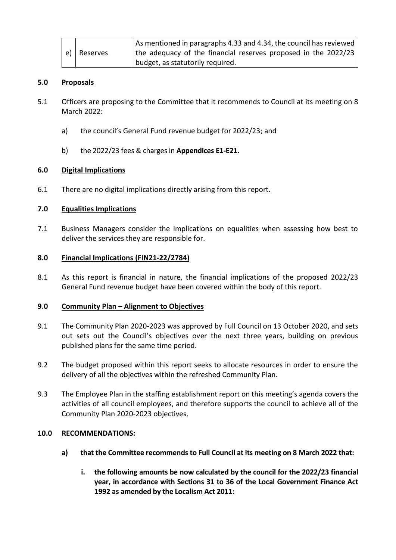|    |          | As mentioned in paragraphs 4.33 and 4.34, the council has reviewed |
|----|----------|--------------------------------------------------------------------|
| e) | Reserves | the adequacy of the financial reserves proposed in the 2022/23     |
|    |          | budget, as statutorily required.                                   |

### **5.0 Proposals**

- 5.1 Officers are proposing to the Committee that it recommends to Council at its meeting on 8 March 2022:
	- a) the council's General Fund revenue budget for 2022/23; and
	- b) the 2022/23 fees & charges in **Appendices E1-E21**.

### **6.0 Digital Implications**

6.1 There are no digital implications directly arising from this report.

### **7.0 Equalities Implications**

7.1 Business Managers consider the implications on equalities when assessing how best to deliver the services they are responsible for.

#### **8.0 Financial Implications (FIN21-22/2784)**

8.1 As this report is financial in nature, the financial implications of the proposed 2022/23 General Fund revenue budget have been covered within the body of this report.

#### **9.0 Community Plan – Alignment to Objectives**

- 9.1 The Community Plan 2020-2023 was approved by Full Council on 13 October 2020, and sets out sets out the Council's objectives over the next three years, building on previous published plans for the same time period.
- 9.2 The budget proposed within this report seeks to allocate resources in order to ensure the delivery of all the objectives within the refreshed Community Plan.
- 9.3 The Employee Plan in the staffing establishment report on this meeting's agenda covers the activities of all council employees, and therefore supports the council to achieve all of the Community Plan 2020-2023 objectives.

#### **10.0 RECOMMENDATIONS:**

- **a) that the Committee recommends to Full Council at its meeting on 8 March 2022 that:**
	- **i. the following amounts be now calculated by the council for the 2022/23 financial year, in accordance with Sections 31 to 36 of the Local Government Finance Act 1992 as amended by the Localism Act 2011:**